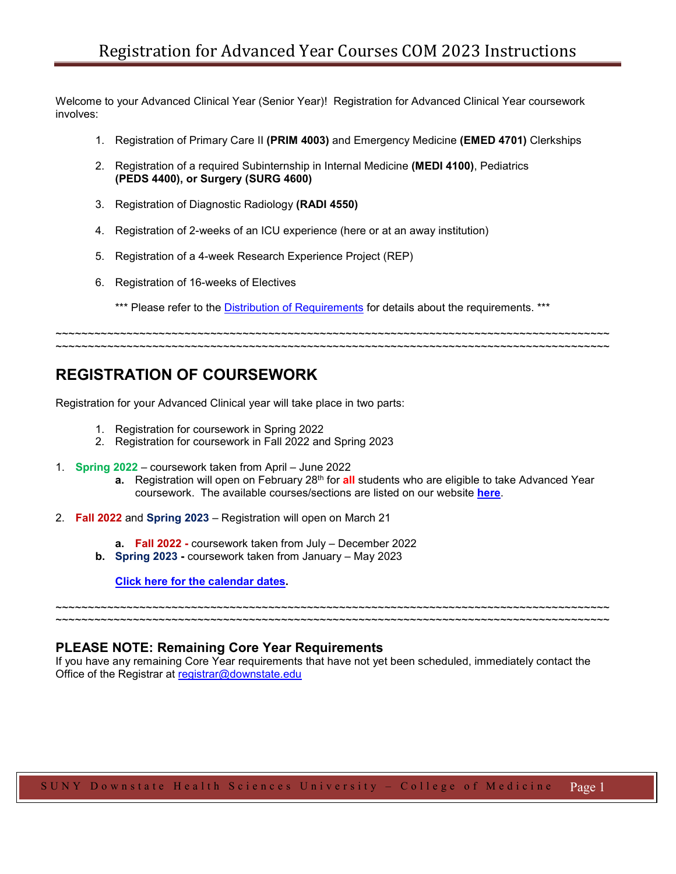Welcome to your Advanced Clinical Year (Senior Year)! Registration for Advanced Clinical Year coursework involves:

- 1. Registration of Primary Care II **(PRIM 4003)** and Emergency Medicine **(EMED 4701)** Clerkships
- 2. Registration of a required Subinternship in Internal Medicine **(MEDI 4100)**, Pediatrics **(PEDS 4400), or Surgery (SURG 4600)**
- 3. Registration of Diagnostic Radiology **(RADI 4550)**
- 4. Registration of 2-weeks of an ICU experience (here or at an away institution)
- 5. Registration of a 4-week Research Experience Project (REP)
- 6. Registration of 16-weeks of Electives
	- \*\*\* Please refer to the [Distribution of Requirements](https://www.downstate.edu/education-training/student-services/registrar/class-meeting/electives.html) for details about the requirements. \*\*\*

~~~~~~~~~~~~~~~~~~~~~~~~~~~~~~~~~~~~~~~~~~~~~~~~~~~~~~~~~~~~~~~~~~~~~~~~~~~~~~~~~~~~~~ ~~~~~~~~~~~~~~~~~~~~~~~~~~~~~~~~~~~~~~~~~~~~~~~~~~~~~~~~~~~~~~~~~~~~~~~~~~~~~~~~~~~~~~

# **REGISTRATION OF COURSEWORK**

Registration for your Advanced Clinical year will take place in two parts:

- 1. Registration for coursework in Spring 2022
- 2. Registration for coursework in Fall 2022 and Spring 2023
- 1. **Spring 2022** coursework taken from April June 2022
	- **a.** Registration will open on February 28<sup>th</sup> for **all** students who are eligible to take Advanced Year coursework. The available courses/sections are listed on our website **[here](https://www.downstate.edu/education-training/student-services/registrar/_documents/catalog/adv_year_catalog_listing.pdf)**.
- 2. **Fall 2022** and **Spring 2023** Registration will open on March 21
	- **a. Fall 2022 -** coursework taken from July December 2022
	- **b. Spring 2023 -** coursework taken from January May 2023

**[Click here for the calendar dates.](https://www.downstate.edu/education-training/student-services/registrar/_documents/class_meeting_materials/advanced_year_elective_dates_2021_2022.pdf)**

**PLEASE NOTE: Remaining Core Year Requirements**

If you have any remaining Core Year requirements that have not yet been scheduled, immediately contact the Office of the Registrar at [registrar@downstate.edu](mailto:registrar@downstate.edu)

~~~~~~~~~~~~~~~~~~~~~~~~~~~~~~~~~~~~~~~~~~~~~~~~~~~~~~~~~~~~~~~~~~~~~~~~~~~~~~~~~~~~~~ ~~~~~~~~~~~~~~~~~~~~~~~~~~~~~~~~~~~~~~~~~~~~~~~~~~~~~~~~~~~~~~~~~~~~~~~~~~~~~~~~~~~~~~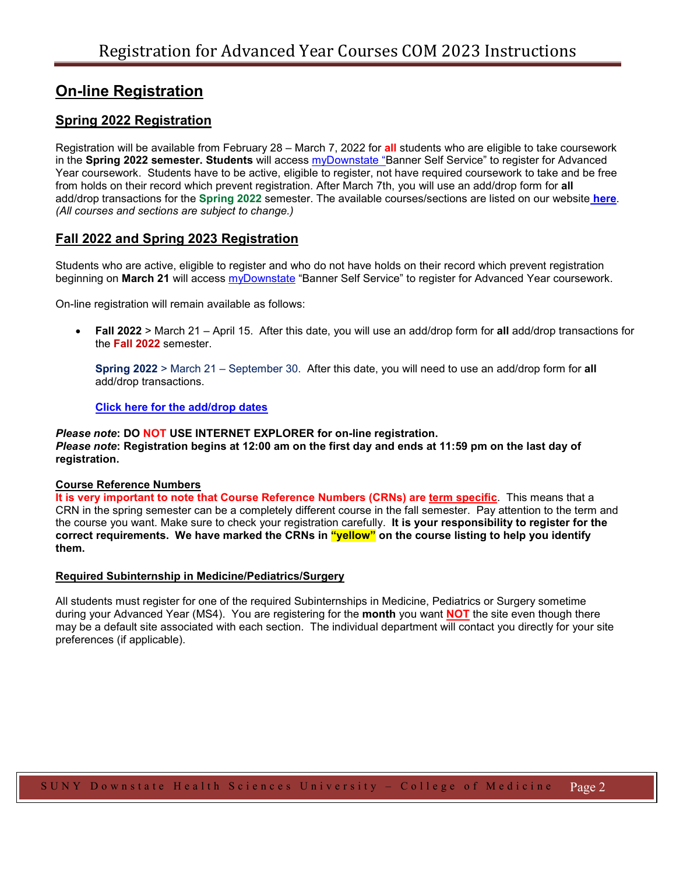# **On-line Registration**

## **Spring 2022 Registration**

Registration will be available from February 28 – March 7, 2022 for **all** students who are eligible to take coursework in the **Spring 2022 semester. Students** will access [myDownstate](https://www.downstate.edu/education-training/mydownstate/index.html) "Banner Self Service" to register for Advanced Year coursework. Students have to be active, eligible to register, not have required coursework to take and be free from holds on their record which prevent registration. After March 7th, you will use an add/drop form for **all** add/drop transactions for the **Spring 2022** semester. The available courses/sections are listed on our website **[here](https://www.downstate.edu/education-training/student-services/registrar/_documents/catalog/adv_year_catalog_listing.pdf)**. *(All courses and sections are subject to change.)*

### **Fall 2022 and Spring 2023 Registration**

Students who are active, eligible to register and who do not have holds on their record which prevent registration beginning on **March 21** will access [myDownstate](https://www.downstate.edu/education-training/mydownstate/index.html) "Banner Self Service" to register for Advanced Year coursework.

On-line registration will remain available as follows:

• **Fall 2022** > March 21 – April 15. After this date, you will use an add/drop form for **all** add/drop transactions for the **Fall 2022** semester.

**Spring 2022** > March 21 – September 30. After this date, you will need to use an add/drop form for **all** add/drop transactions.

**[Click here for the](https://www.downstate.edu/education-training/student-services/registrar/_documents/class_meeting_materials/add_drop_dates_2022_22.pdf) add/drop dates**

*Please note***: DO NOT USE INTERNET EXPLORER for on-line registration.** *Please note***: Registration begins at 12:00 am on the first day and ends at 11:59 pm on the last day of registration.**

#### **Course Reference Numbers**

**It is very important to note that Course Reference Numbers (CRNs) are term specific**. This means that a CRN in the spring semester can be a completely different course in the fall semester. Pay attention to the term and the course you want. Make sure to check your registration carefully. **It is your responsibility to register for the correct requirements. We have marked the CRNs in "yellow" on the course listing to help you identify them.**

#### **Required Subinternship in Medicine/Pediatrics/Surgery**

All students must register for one of the required Subinternships in Medicine, Pediatrics or Surgery sometime during your Advanced Year (MS4). You are registering for the **month** you want **NOT** the site even though there may be a default site associated with each section. The individual department will contact you directly for your site preferences (if applicable).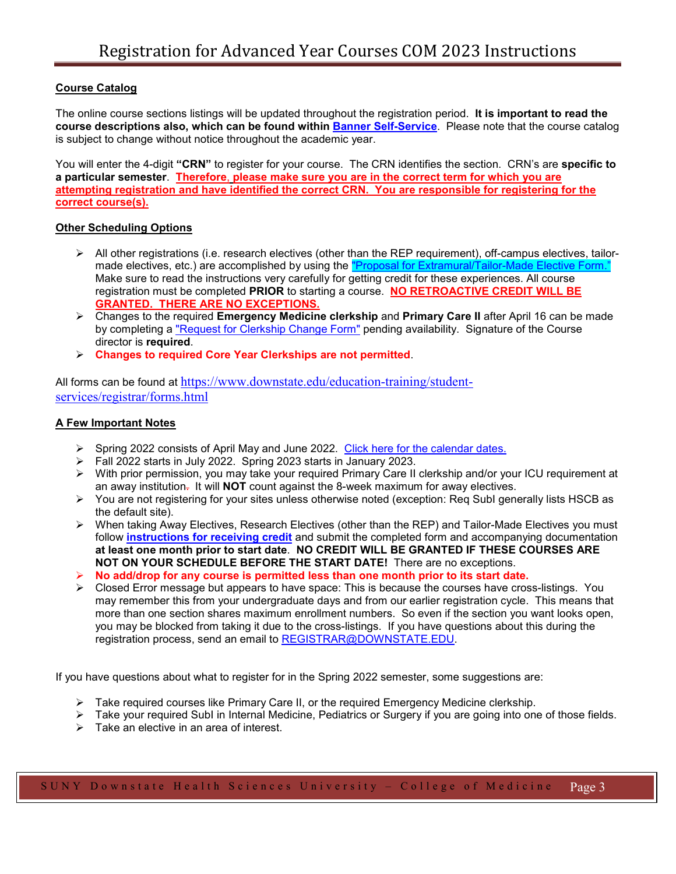#### **Course Catalog**

The online course sections listings will be updated throughout the registration period. **It is important to read the course descriptions also, which can be found within [Banner Self-Service](https://bannerprod.downstate.edu/pls/prod/twbkwbis.P_WWWLogin)**. Please note that the course catalog is subject to change without notice throughout the academic year.

You will enter the 4-digit **"CRN"** to register for your course. The CRN identifies the section. CRN's are **specific to a particular semester**. **Therefore**, **please make sure you are in the correct term for which you are attempting registration and have identified the correct CRN. You are responsible for registering for the correct course(s).**

#### **Other Scheduling Options**

- $\triangleright$  All other registrations (i.e. research electives (other than the REP requirement), off-campus electives, tailormade electives, etc.) are accomplished by using the "Proposal for Extramural/Tailor-Made Elective Form." Make sure to read the instructions very carefully for getting credit for these experiences. All course registration must be completed **PRIOR** to starting a course. **NO RETROACTIVE CREDIT WILL BE GRANTED. THERE ARE NO EXCEPTIONS.**
- Changes to the required **Emergency Medicine clerkship** and **Primary Care II** after April 16 can be made by completing a ["Request for Clerkship Change Form"](https://www.downstate.edu/education-training/student-services/registrar/_documents/clerkship_change_form.pdf) pending availability. Signature of the Course director is **required**.
- **Changes to required Core Year Clerkships are not permitted**.

All forms can be found at [https://www.downstate.edu/education-training/student](https://www.downstate.edu/education-training/student-services/registrar/forms.html)[services/registrar/forms.html](https://www.downstate.edu/education-training/student-services/registrar/forms.html)

#### **A Few Important Notes**

- $\triangleright$  Spring 2022 consists of April May and June 2022. [Click here for the calendar](https://www.downstate.edu/education-training/student-services/registrar/_documents/class_meeting_materials/advanced_year_elective_dates_2021_2022.pdf) dates.
- Fall 2022 starts in July 2022. Spring 2023 starts in January 2023.
- With prior permission, you may take your required Primary Care II clerkship and/or your ICU requirement at an away institution. It will **NOT** count against the 8-week maximum for away electives.
- $\triangleright$  You are not registering for your sites unless otherwise noted (exception: Req SubI generally lists HSCB as the default site).
- $\triangleright$  When taking Away Electives, Research Electives (other than the REP) and Tailor-Made Electives you must follow **[instructions for receiving credit](https://www.downstate.edu/education-training/student-services/registrar/_documents/extramural_tailor-made_elective_forms/procedure_for_applying_away_elective.pdf)** and submit the completed form and accompanying documentation **at least one month prior to start date**. **NO CREDIT WILL BE GRANTED IF THESE COURSES ARE NOT ON YOUR SCHEDULE BEFORE THE START DATE!** There are no exceptions.
- **No add/drop for any course is permitted less than one month prior to its start date.**
- $\triangleright$  Closed Error message but appears to have space: This is because the courses have cross-listings. You may remember this from your undergraduate days and from our earlier registration cycle. This means that more than one section shares maximum enrollment numbers. So even if the section you want looks open, you may be blocked from taking it due to the cross-listings. If you have questions about this during the registration process, send an email to [REGISTRAR@DOWNSTATE.EDU.](mailto:REGISTRAR@DOWNSTATE.EDU)

If you have questions about what to register for in the Spring 2022 semester, some suggestions are:

- $\triangleright$  Take required courses like Primary Care II, or the required Emergency Medicine clerkship.
- Take your required SubI in Internal Medicine, Pediatrics or Surgery if you are going into one of those fields.
- $\triangleright$  Take an elective in an area of interest.